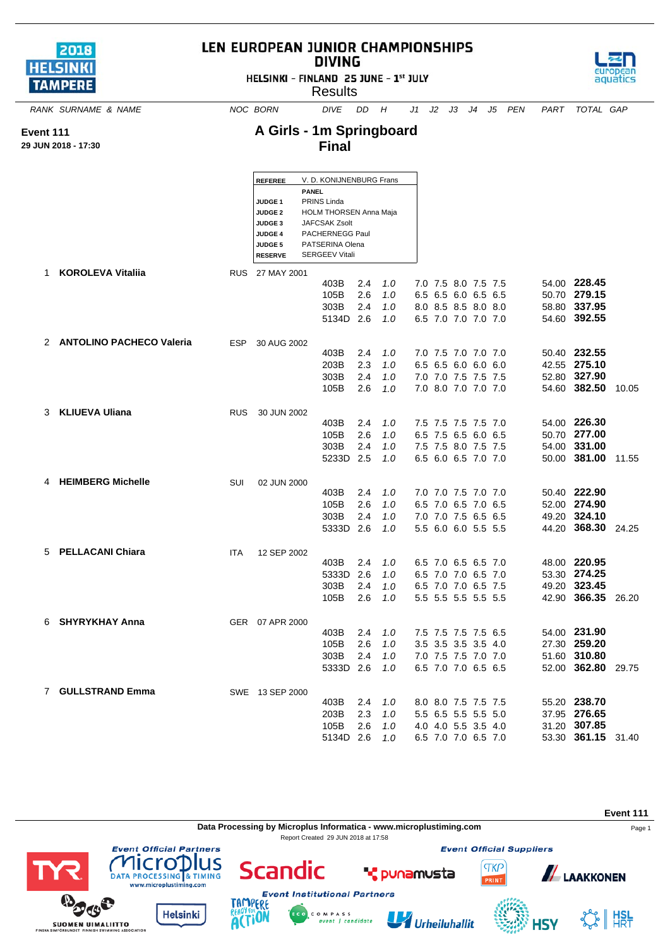| 2018            |  |
|-----------------|--|
| <b>HELSINKI</b> |  |
| <b>TAMPERE</b>  |  |

**Event 111 29 JUN 2018 - 17:30**

## LEN EUROPEAN JUNIOR CHAMPIONSHIPS **DIVING**

HELSINKI - FINLAND 25 JUNE - 1st JULY



 $\mathbf{\Phi}$ 

**SUOMEN UIMALIITTO**<br>FINSKA SIMFORBUNDET FINNISH SWIMMING ASSOCIATION

*RANK SURNAME & NAME NOC BORN DIVE DD H J1 J2 J3 J4 J5 PEN PART TOTAL GAP*

aguá

## **A Girls - 1m Springboard Final**

|   |                            |            | <b>REFEREE</b>     | V. D. KONIJNENBURG Frans |     |     |  |                     |      |                    |       |
|---|----------------------------|------------|--------------------|--------------------------|-----|-----|--|---------------------|------|--------------------|-------|
|   |                            |            |                    | <b>PANEL</b>             |     |     |  |                     |      |                    |       |
|   |                            |            | JUDGE <sub>1</sub> | PRINS Linda              |     |     |  |                     |      |                    |       |
|   |                            |            | <b>JUDGE 2</b>     | HOLM THORSEN Anna Maja   |     |     |  |                     |      |                    |       |
|   |                            |            | JUDGE 3            | JAFCSAK Zsolt            |     |     |  |                     |      |                    |       |
|   |                            |            | <b>JUDGE 4</b>     | PACHERNEGG Paul          |     |     |  |                     |      |                    |       |
|   |                            |            | JUDGE 5            | PATSERINA Olena          |     |     |  |                     |      |                    |       |
|   |                            |            | <b>RESERVE</b>     | <b>SERGEEV Vitali</b>    |     |     |  |                     |      |                    |       |
| 1 | <b>KOROLEVA Vitaliia</b>   |            | RUS 27 MAY 2001    |                          |     |     |  |                     |      |                    |       |
|   |                            |            |                    | 403B                     | 2.4 | 1.0 |  | 7.0 7.5 8.0 7.5 7.5 |      | 54.00 228.45       |       |
|   |                            |            |                    | 105B                     | 2.6 | 1.0 |  | 6.5 6.5 6.0 6.5 6.5 |      | 50.70 279.15       |       |
|   |                            |            |                    | 303B                     | 2.4 | 1.0 |  | 8.0 8.5 8.5 8.0 8.0 |      | 58.80 337.95       |       |
|   |                            |            |                    | 5134D 2.6                |     | 1.0 |  | 6.5 7.0 7.0 7.0 7.0 |      | 54.60 392.55       |       |
|   |                            |            |                    |                          |     |     |  |                     |      |                    |       |
|   | 2 ANTOLINO PACHECO Valeria | <b>ESP</b> | 30 AUG 2002        |                          |     |     |  |                     |      |                    |       |
|   |                            |            |                    | 403B                     | 2.4 | 1.0 |  | 7.0 7.5 7.0 7.0 7.0 |      | 50.40 232.55       |       |
|   |                            |            |                    | 203B                     | 2.3 | 1.0 |  | 6.5 6.5 6.0 6.0 6.0 |      | 42.55 275.10       |       |
|   |                            |            |                    | 303B                     | 2.4 | 1.0 |  | 7.0 7.0 7.5 7.5 7.5 |      | 52.80 327.90       |       |
|   |                            |            |                    | 105B                     | 2.6 | 1.0 |  | 7.0 8.0 7.0 7.0 7.0 |      | 54.60 382.50       | 10.05 |
|   |                            |            |                    |                          |     |     |  |                     |      |                    |       |
| 3 | <b>KLIUEVA Uliana</b>      | <b>RUS</b> | 30 JUN 2002        |                          |     |     |  |                     |      |                    |       |
|   |                            |            |                    | 403B                     | 2.4 | 1.0 |  | 7.5 7.5 7.5 7.5 7.0 |      | 54.00 226.30       |       |
|   |                            |            |                    | 105B                     | 2.6 | 1.0 |  | 6.5 7.5 6.5 6.0 6.5 |      | 50.70 277.00       |       |
|   |                            |            |                    | 303B                     | 2.4 | 1.0 |  | 7.5 7.5 8.0 7.5 7.5 |      | 54.00 331.00       |       |
|   |                            |            |                    | 5233D                    | 2.5 | 1.0 |  | 6.5 6.0 6.5 7.0 7.0 |      | 50.00 381.00       | 11.55 |
|   |                            |            |                    |                          |     |     |  |                     |      |                    |       |
| 4 | <b>HEIMBERG Michelle</b>   | SUI        | 02 JUN 2000        |                          |     |     |  |                     |      |                    |       |
|   |                            |            |                    | 403B                     | 2.4 | 1.0 |  | 7.0 7.0 7.5 7.0 7.0 |      | 50.40 222.90       |       |
|   |                            |            |                    | 105B                     | 2.6 | 1.0 |  | 6.5 7.0 6.5 7.0 6.5 |      | 52.00 274.90       |       |
|   |                            |            |                    | 303B                     | 2.4 | 1.0 |  | 7.0 7.0 7.5 6.5 6.5 |      | 49.20 324.10       |       |
|   |                            |            |                    | 5333D 2.6                |     | 1.0 |  | 5.5 6.0 6.0 5.5 5.5 |      | 44.20 368.30 24.25 |       |
|   |                            |            |                    |                          |     |     |  |                     |      |                    |       |
| 5 | <b>PELLACANI Chiara</b>    | <b>ITA</b> | 12 SEP 2002        |                          |     |     |  |                     |      |                    |       |
|   |                            |            |                    | 403B                     | 2.4 | 1.0 |  | 6.5 7.0 6.5 6.5 7.0 |      | 48.00 220.95       |       |
|   |                            |            |                    | 5333D                    | 2.6 | 1.0 |  | 6.5 7.0 7.0 6.5 7.0 |      | 53.30 274.25       |       |
|   |                            |            |                    | 303B                     | 2.4 | 1.0 |  | 6.5 7.0 7.0 6.5 7.5 |      | 49.20 323.45       |       |
|   |                            |            |                    | 105B                     | 2.6 | 1.0 |  | 5.5 5.5 5.5 5.5 5.5 |      | 42.90 366.35       | 26.20 |
|   |                            |            |                    |                          |     |     |  |                     |      |                    |       |
| 6 | <b>SHYRYKHAY Anna</b>      |            | GER 07 APR 2000    |                          |     |     |  |                     |      |                    |       |
|   |                            |            |                    | 403B                     | 2.4 | 1.0 |  | 7.5 7.5 7.5 7.5 6.5 |      | 54.00 231.90       |       |
|   |                            |            |                    | 105B                     | 2.6 | 1.0 |  | 3.5 3.5 3.5 3.5     | -4.0 | 27.30 259.20       |       |
|   |                            |            |                    | 303B                     | 2.4 | 1.0 |  | 7.0 7.5 7.5 7.0 7.0 |      | 51.60 310.80       |       |
|   |                            |            |                    | 5333D                    | 2.6 | 1.0 |  | 6.5 7.0 7.0 6.5 6.5 |      | 52.00 362.80       | 29.75 |
|   |                            |            |                    |                          |     |     |  |                     |      |                    |       |
|   | 7 GULLSTRAND Emma          |            | SWE 13 SEP 2000    |                          |     |     |  |                     |      |                    |       |
|   |                            |            |                    | 403B                     | 2.4 | 1.0 |  | 8.0 8.0 7.5 7.5 7.5 |      | 55.20 238.70       |       |
|   |                            |            |                    | 203B                     | 2.3 | 1.0 |  | 5.5 6.5 5.5 5.5     | 5.0  | 37.95 276.65       |       |
|   |                            |            |                    | 105B                     | 2.6 | 1.0 |  | 4.0 4.0 5.5 3.5 4.0 |      | 31.20 307.85       |       |
|   |                            |            |                    | 5134D 2.6                |     | 1.0 |  | 6.5 7.0 7.0 6.5 7.0 |      | 53.30 361.15       | 31.40 |

**Event 111 Data Processing by Microplus Informatica - www.microplustiming.com** Page 1 Report Created 29 JUN 2018 at 17:58**Event Official Suppliers Event Official Partners** lus cro Scandic **TKP THETUPIUS**<br>ATA PROCESSING & TIMING **ALAAKKONEN T** punamusta RINT vww.microplustiming.com **Event Institutional Partners** 

C O M P A S S<br>event | candidate

U Urheiluhallit

 $\frac{1}{2}$   $\frac{1}{2}$ 

**4SY** 

ERE

**ACTION** 

**Helsinki**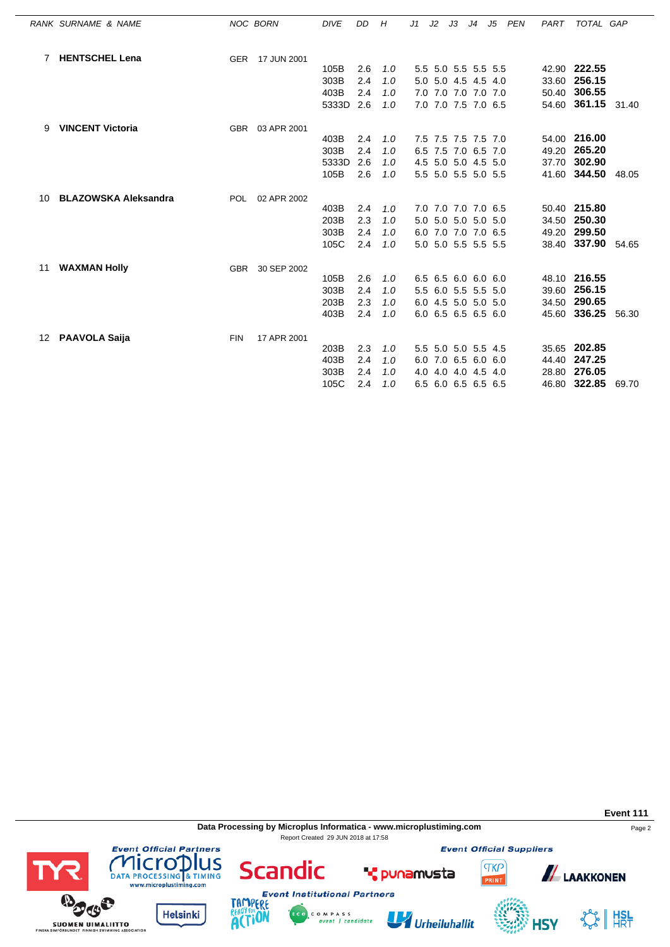|    | RANK SURNAME & NAME         |            | NOC BORN        | <b>DIVE</b> | DD  | Н   | J1 | J2 | JЗ | J4                  | J5 | PEN | PART | TOTAL GAP          |       |
|----|-----------------------------|------------|-----------------|-------------|-----|-----|----|----|----|---------------------|----|-----|------|--------------------|-------|
|    | 7 HENTSCHEL Lena            |            | GER 17 JUN 2001 |             |     |     |    |    |    |                     |    |     |      |                    |       |
|    |                             |            |                 | 105B        | 2.6 | 1.0 |    |    |    | 5.5 5.0 5.5 5.5 5.5 |    |     |      | 42.90 222.55       |       |
|    |                             |            |                 | 303B        | 2.4 | 1.0 |    |    |    | 5.0 5.0 4.5 4.5 4.0 |    |     |      | 33.60 256.15       |       |
|    |                             |            |                 | 403B        | 2.4 | 1.0 |    |    |    | 7.0 7.0 7.0 7.0 7.0 |    |     |      | 50.40 306.55       |       |
|    |                             |            |                 | 5333D       | 2.6 | 1.0 |    |    |    | 7.0 7.0 7.5 7.0 6.5 |    |     |      | 54.60 361.15 31.40 |       |
| 9  | <b>VINCENT Victoria</b>     |            | GBR 03 APR 2001 |             |     |     |    |    |    |                     |    |     |      |                    |       |
|    |                             |            |                 | 403B        | 2.4 | 1.0 |    |    |    | 7.5 7.5 7.5 7.5 7.0 |    |     |      | 54.00 216.00       |       |
|    |                             |            |                 | 303B        | 2.4 | 1.0 |    |    |    | 6.5 7.5 7.0 6.5 7.0 |    |     |      | 49.20 265.20       |       |
|    |                             |            |                 | 5333D       | 2.6 | 1.0 |    |    |    | 4.5 5.0 5.0 4.5 5.0 |    |     |      | 37.70 302.90       |       |
|    |                             |            |                 | 105B        | 2.6 | 1.0 |    |    |    | 5.5 5.0 5.5 5.0 5.5 |    |     |      | 41.60 344.50 48.05 |       |
| 10 | <b>BLAZOWSKA Aleksandra</b> | POL.       | 02 APR 2002     |             |     |     |    |    |    |                     |    |     |      |                    |       |
|    |                             |            |                 | 403B        | 2.4 | 1.0 |    |    |    | 7.0 7.0 7.0 7.0 6.5 |    |     |      | 50.40 215.80       |       |
|    |                             |            |                 | 203B        | 2.3 | 1.0 |    |    |    | 5.0 5.0 5.0 5.0 5.0 |    |     |      | 34.50 250.30       |       |
|    |                             |            |                 | 303B        | 2.4 | 1.0 |    |    |    | 6.0 7.0 7.0 7.0 6.5 |    |     |      | 49.20 299.50       |       |
|    |                             |            |                 | 105C        | 2.4 | 1.0 |    |    |    | 5.0 5.0 5.5 5.5 5.5 |    |     |      | 38.40 337.90 54.65 |       |
| 11 | <b>WAXMAN Holly</b>         | <b>GBR</b> | 30 SEP 2002     |             |     |     |    |    |    |                     |    |     |      |                    |       |
|    |                             |            |                 | 105B        | 2.6 | 1.0 |    |    |    | 6.5 6.5 6.0 6.0 6.0 |    |     |      | 48.10 216.55       |       |
|    |                             |            |                 | 303B        | 2.4 | 1.0 |    |    |    | 5.5 6.0 5.5 5.5 5.0 |    |     |      | 39.60 256.15       |       |
|    |                             |            |                 | 203B        | 2.3 | 1.0 |    |    |    | 6.0 4.5 5.0 5.0 5.0 |    |     |      | 34.50 290.65       |       |
|    |                             |            |                 | 403B        | 2.4 | 1.0 |    |    |    | 6.0 6.5 6.5 6.5 6.0 |    |     |      | 45.60 336.25       | 56.30 |
| 12 | <b>PAAVOLA Saija</b>        | <b>FIN</b> | 17 APR 2001     |             |     |     |    |    |    |                     |    |     |      |                    |       |
|    |                             |            |                 | 203B        | 2.3 | 1.0 |    |    |    | 5.5 5.0 5.0 5.5 4.5 |    |     |      | 35.65 202.85       |       |
|    |                             |            |                 | 403B        | 2.4 | 1.0 |    |    |    | 6.0 7.0 6.5 6.0 6.0 |    |     |      | 44.40 247.25       |       |
|    |                             |            |                 | 303B        | 2.4 | 1.0 |    |    |    | 4.0 4.0 4.0 4.5 4.0 |    |     |      | 28.80 276.05       |       |
|    |                             |            |                 | 105C        | 2.4 | 1.0 |    |    |    | 6.5 6.0 6.5 6.5 6.5 |    |     |      | 46.80 322.85       | 69.70 |

**Data Processing by Microplus Informatica - www.microplustiming.com** Page 2 Report Created 29 JUN 2018 at 17:58

**Event Official Suppliers** 



**Event 111**

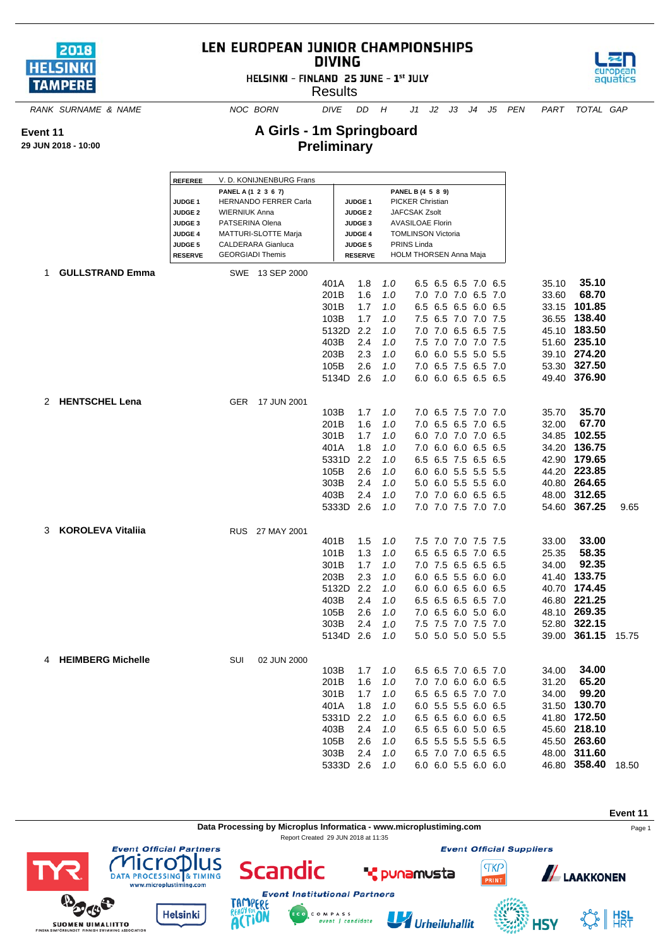

**Event 11 29 JUN 2018 - 10:00**

## LEN EUROPEAN JUNIOR CHAMPIONSHIPS **DIVING**

HELSINKI - FINLAND 25 JUNE - 1st JULY

**Results** 



*RANK SURNAME & NAME NOC BORN DIVE DD H J1 J2 J3 J4 J5 PEN PART TOTAL GAP*

**A Girls - 1m Springboard Preliminary**

|    |                          | <b>REFEREE</b>                       |                         | V. D. KONIJNENBURG Frans    |           |                                      |       |                                          |                     |  |       |                    |       |
|----|--------------------------|--------------------------------------|-------------------------|-----------------------------|-----------|--------------------------------------|-------|------------------------------------------|---------------------|--|-------|--------------------|-------|
|    |                          |                                      | PANEL A (1 2 3 6 7)     |                             |           |                                      |       | PANEL B (4 5 8 9)                        |                     |  |       |                    |       |
|    |                          | JUDGE <sub>1</sub>                   | <b>WIERNIUK Anna</b>    | HERNANDO FERRER Carla       |           | JUDGE <sub>1</sub>                   |       | <b>PICKER Christian</b><br>JAFCSAK Zsolt |                     |  |       |                    |       |
|    |                          | <b>JUDGE 2</b><br>JUDGE <sub>3</sub> | PATSERINA Olena         |                             |           | <b>JUDGE 2</b><br>JUDGE <sub>3</sub> |       | <b>AVASILOAE Florin</b>                  |                     |  |       |                    |       |
|    |                          | <b>JUDGE 4</b>                       |                         | <b>MATTURI-SLOTTE Marja</b> |           | <b>JUDGE 4</b>                       |       | <b>TOMLINSON Victoria</b>                |                     |  |       |                    |       |
|    |                          | <b>JUDGE 5</b>                       |                         | <b>CALDERARA Gianluca</b>   |           | <b>JUDGE 5</b>                       |       | PRINS Linda                              |                     |  |       |                    |       |
|    |                          | <b>RESERVE</b>                       | <b>GEORGIADI Themis</b> |                             |           | <b>RESERVE</b>                       |       | <b>HOLM THORSEN Anna Maja</b>            |                     |  |       |                    |       |
| 1. | <b>GULLSTRAND Emma</b>   |                                      |                         | SWE 13 SEP 2000             |           |                                      |       |                                          |                     |  |       |                    |       |
|    |                          |                                      |                         |                             | 401A      | 1.8                                  | 1.0   |                                          | 6.5 6.5 6.5 7.0 6.5 |  | 35.10 | 35.10              |       |
|    |                          |                                      |                         |                             | 201B      | 1.6                                  | 1.0   |                                          | 7.0 7.0 7.0 6.5 7.0 |  | 33.60 | 68.70              |       |
|    |                          |                                      |                         |                             | 301B      | 1.7                                  | 1.0   | 6.5                                      | 6.5 6.5 6.0 6.5     |  | 33.15 | 101.85             |       |
|    |                          |                                      |                         |                             | 103B      | 1.7                                  | 1.0   | 7.5                                      | 6.5 7.0 7.0 7.5     |  |       | 36.55 138.40       |       |
|    |                          |                                      |                         |                             | 5132D     | 2.2                                  | 1.0   |                                          | 7.0 7.0 6.5 6.5 7.5 |  |       | 45.10 183.50       |       |
|    |                          |                                      |                         |                             | 403B      | 2.4                                  | 1.0   |                                          | 7.5 7.0 7.0 7.0 7.5 |  |       | 51.60 235.10       |       |
|    |                          |                                      |                         |                             | 203B      | 2.3                                  | 1.0   |                                          | 6.0 6.0 5.5 5.0 5.5 |  |       | 39.10 274.20       |       |
|    |                          |                                      |                         |                             | 105B      | 2.6                                  | 1.0   |                                          | 7.0 6.5 7.5 6.5 7.0 |  |       | 53.30 327.50       |       |
|    |                          |                                      |                         |                             | 5134D     | 2.6                                  | 1.0   |                                          | 6.0 6.0 6.5 6.5 6.5 |  |       | 49.40 376.90       |       |
|    |                          |                                      |                         |                             |           |                                      |       |                                          |                     |  |       |                    |       |
| 2  | <b>HENTSCHEL Lena</b>    |                                      | <b>GER</b>              | 17 JUN 2001                 |           |                                      |       |                                          |                     |  |       |                    |       |
|    |                          |                                      |                         |                             | 103B      | 1.7                                  | 1.0   |                                          | 7.0 6.5 7.5 7.0 7.0 |  | 35.70 | 35.70              |       |
|    |                          |                                      |                         |                             | 201B      | 1.6                                  | 1.0   |                                          | 7.0 6.5 6.5 7.0 6.5 |  | 32.00 | 67.70              |       |
|    |                          |                                      |                         |                             | 301B      | 1.7                                  | 1.0   |                                          | 6.0 7.0 7.0 7.0 6.5 |  | 34.85 | 102.55             |       |
|    |                          |                                      |                         |                             | 401A      | 1.8                                  | 1.0   |                                          | 7.0 6.0 6.0 6.5 6.5 |  |       | 34.20 136.75       |       |
|    |                          |                                      |                         |                             | 5331D     | 2.2                                  | 1.0   | 6.5                                      | 6.5 7.5 6.5 6.5     |  |       | 42.90 179.65       |       |
|    |                          |                                      |                         |                             | 105B      | 2.6                                  | 1.0   |                                          | 6.0 6.0 5.5 5.5 5.5 |  |       | 44.20 223.85       |       |
|    |                          |                                      |                         |                             | 303B      | 2.4                                  | 1.0   |                                          | 5.0 6.0 5.5 5.5 6.0 |  |       | 40.80 264.65       |       |
|    |                          |                                      |                         |                             | 403B      | 2.4                                  | 1.0   |                                          | 7.0 7.0 6.0 6.5 6.5 |  |       | 48.00 312.65       |       |
|    |                          |                                      |                         |                             | 5333D     | 2.6                                  | 1.0   |                                          | 7.0 7.0 7.5 7.0 7.0 |  |       | 54.60 367.25       | 9.65  |
| 3  | <b>KOROLEVA Vitaliia</b> |                                      |                         | RUS 27 MAY 2001             |           |                                      |       |                                          |                     |  |       |                    |       |
|    |                          |                                      |                         |                             | 401B      | 1.5                                  | 1.0   |                                          | 7.5 7.0 7.0 7.5 7.5 |  | 33.00 | 33.00              |       |
|    |                          |                                      |                         |                             | 101B      | 1.3                                  | 1.0   | 6.5                                      | 6.5 6.5 7.0 6.5     |  | 25.35 | 58.35              |       |
|    |                          |                                      |                         |                             | 301B      | 1.7                                  | 1.0   |                                          | 7.0 7.5 6.5 6.5 6.5 |  | 34.00 | 92.35              |       |
|    |                          |                                      |                         |                             | 203B      | 2.3                                  | 1.0   |                                          | 6.0 6.5 5.5 6.0 6.0 |  | 41.40 | 133.75             |       |
|    |                          |                                      |                         |                             | 5132D     | 2.2                                  | 1.0   |                                          | 6.0 6.0 6.5 6.0 6.5 |  |       | 40.70 174.45       |       |
|    |                          |                                      |                         |                             | 403B      | 2.4                                  | 1.0   |                                          | 6.5 6.5 6.5 6.5 7.0 |  |       | 46.80 221.25       |       |
|    |                          |                                      |                         |                             | 105B      | 2.6                                  | 1.0   |                                          | 7.0 6.5 6.0 5.0 6.0 |  |       | 48.10 269.35       |       |
|    |                          |                                      |                         |                             | 303B      | 2.4                                  | 1.0   |                                          | 7.5 7.5 7.0 7.5 7.0 |  |       | 52.80 322.15       |       |
|    |                          |                                      |                         |                             | 5134D 2.6 |                                      | 1.0   |                                          | 5.0 5.0 5.0 5.0 5.5 |  |       | 39.00 361.15       | 15.75 |
|    |                          |                                      |                         |                             |           |                                      |       |                                          |                     |  |       |                    |       |
|    | 4 HEIMBERG Michelle      |                                      | SUI                     | 02 JUN 2000                 |           |                                      |       |                                          |                     |  |       |                    |       |
|    |                          |                                      |                         |                             | 103B      | 1.7                                  | $1.0$ |                                          | 6.5 6.5 7.0 6.5 7.0 |  | 34.00 | 34.00              |       |
|    |                          |                                      |                         |                             | 201B      | 1.6                                  | 1.0   |                                          | 7.0 7.0 6.0 6.0 6.5 |  | 31.20 | 65.20              |       |
|    |                          |                                      |                         |                             | 301B      | 1.7                                  | 1.0   |                                          | 6.5 6.5 6.5 7.0 7.0 |  | 34.00 | 99.20              |       |
|    |                          |                                      |                         |                             | 401A      | 1.8                                  | 1.0   |                                          | 6.0 5.5 5.5 6.0 6.5 |  |       | 31.50 130.70       |       |
|    |                          |                                      |                         |                             | 5331D     | 2.2                                  | 1.0   |                                          | 6.5 6.5 6.0 6.0 6.5 |  |       | 41.80 172.50       |       |
|    |                          |                                      |                         |                             | 403B      | 2.4                                  | 1.0   |                                          | 6.5 6.5 6.0 5.0 6.5 |  |       | 45.60 218.10       |       |
|    |                          |                                      |                         |                             | 105B      | 2.6                                  | 1.0   |                                          | 6.5 5.5 5.5 5.5 6.5 |  |       | 45.50 263.60       |       |
|    |                          |                                      |                         |                             | 303B      | 2.4                                  | 1.0   |                                          | 6.5 7.0 7.0 6.5 6.5 |  |       | 48.00 311.60       |       |
|    |                          |                                      |                         |                             | 5333D 2.6 |                                      | 1.0   |                                          | 6.0 6.0 5.5 6.0 6.0 |  |       | 46.80 358.40 18.50 |       |

**Data Processing by Microplus Informatica - www.microplustiming.com** expansion of the Page 1

C O M P A S S<br>event | candidate

Report Created 29 JUN 2018 at 11:35



**SUOMEN UIMALIITTO** 

lus Scandic

**Helsinki** 



U Urheiluhallit

**"** punamusta

**Event Official Suppliers** 

**TKP** 

PRINT

**4SY** 



 $\frac{1}{2}$  | HSL

**Event 11**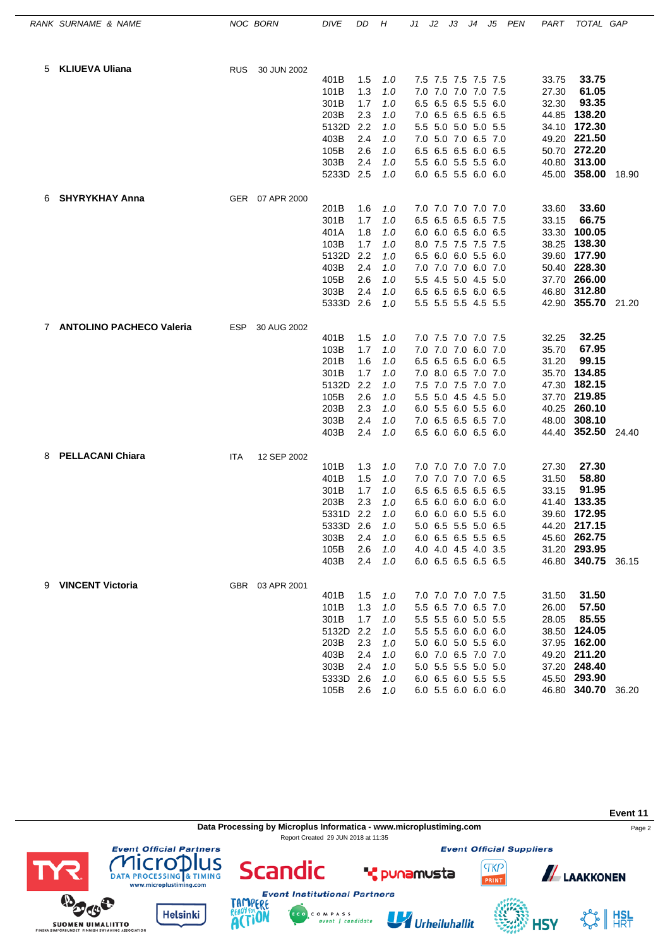|   | RANK SURNAME & NAME        |            | NOC BORN        | <b>DIVE</b>   | DD         | Н          | J1  | J2 | JЗ                                         | J4 | J5  | PEN | PART           | TOTAL GAP                    |       |
|---|----------------------------|------------|-----------------|---------------|------------|------------|-----|----|--------------------------------------------|----|-----|-----|----------------|------------------------------|-------|
| 5 | <b>KLIUEVA Uliana</b>      | <b>RUS</b> | 30 JUN 2002     |               |            |            |     |    |                                            |    |     |     |                |                              |       |
|   |                            |            |                 | 401B          | 1.5        | 1.0        |     |    | 7.5 7.5 7.5 7.5 7.5                        |    |     |     | 33.75          | 33.75                        |       |
|   |                            |            |                 | 101B          | 1.3        | 1.0        | 7.0 |    | 7.0 7.0 7.0 7.5                            |    |     |     | 27.30          | 61.05                        |       |
|   |                            |            |                 | 301B          | 1.7        | 1.0        |     |    | 6.5 6.5 6.5 5.5                            |    | 6.0 |     | 32.30          | 93.35                        |       |
|   |                            |            |                 | 203B          | 2.3        | 1.0        |     |    | 7.0 6.5 6.5 6.5 6.5                        |    |     |     | 44.85          | 138.20                       |       |
|   |                            |            |                 | 5132D         | 2.2        | 1.0        |     |    | 5.5 5.0 5.0 5.0 5.5                        |    |     |     | 34.10          | 172.30                       |       |
|   |                            |            |                 | 403B          | 2.4        | 1.0        | 7.0 |    | 5.0 7.0 6.5 7.0                            |    |     |     |                | 49.20 221.50                 |       |
|   |                            |            |                 | 105B          | 2.6        | 1.0        |     |    | 6.5 6.5 6.5 6.0 6.5                        |    |     |     |                | 50.70 272.20                 |       |
|   |                            |            |                 | 303B          | 2.4        | 1.0        |     |    | 5.5 6.0 5.5 5.5 6.0                        |    |     |     |                | 40.80 313.00                 |       |
|   |                            |            |                 | 5233D 2.5     |            | 1.0        |     |    | 6.0 6.5 5.5 6.0 6.0                        |    |     |     |                | 45.00 358.00                 | 18.90 |
| 6 | <b>SHYRYKHAY Anna</b>      |            | GER 07 APR 2000 |               |            |            |     |    |                                            |    |     |     |                | 33.60                        |       |
|   |                            |            |                 | 201B<br>301B  | 1.6<br>1.7 | 1.0<br>1.0 |     |    | 7.0 7.0 7.0 7.0 7.0<br>6.5 6.5 6.5 6.5 7.5 |    |     |     | 33.60<br>33.15 | 66.75                        |       |
|   |                            |            |                 | 401A          | 1.8        | 1.0        |     |    | 6.0 6.0 6.5 6.0                            |    | 6.5 |     | 33.30          | 100.05                       |       |
|   |                            |            |                 | 103B          | 1.7        | 1.0        |     |    | 8.0 7.5 7.5 7.5 7.5                        |    |     |     | 38.25          | 138.30                       |       |
|   |                            |            |                 | 5132D         | 2.2        | 1.0        |     |    | 6.5 6.0 6.0 5.5 6.0                        |    |     |     | 39.60          | 177.90                       |       |
|   |                            |            |                 | 403B          | 2.4        | 1.0        |     |    | 7.0 7.0 7.0 6.0 7.0                        |    |     |     |                | 50.40 228.30                 |       |
|   |                            |            |                 | 105B          | 2.6        | 1.0        |     |    | 5.5 4.5 5.0 4.5 5.0                        |    |     |     |                | 37.70 266.00                 |       |
|   |                            |            |                 | 303B          | 2.4        | 1.0        |     |    | 6.5 6.5 6.5 6.0 6.5                        |    |     |     |                | 46.80 312.80                 |       |
|   |                            |            |                 | 5333D 2.6     |            | 1.0        |     |    | 5.5 5.5 5.5 4.5 5.5                        |    |     |     |                | 42.90 355.70 21.20           |       |
|   | 7 ANTOLINO PACHECO Valeria | ESP        | 30 AUG 2002     |               |            |            |     |    |                                            |    |     |     |                |                              |       |
|   |                            |            |                 | 401B          | 1.5        | 1.0        |     |    | 7.0 7.5 7.0 7.0 7.5                        |    |     |     | 32.25          | 32.25                        |       |
|   |                            |            |                 | 103B          | 1.7        | 1.0        |     |    | 7.0 7.0 7.0 6.0 7.0                        |    |     |     | 35.70          | 67.95                        |       |
|   |                            |            |                 | 201B          | 1.6        | 1.0        | 6.5 |    | 6.5 6.5 6.0 6.5                            |    |     |     | 31.20          | 99.15                        |       |
|   |                            |            |                 | 301B          | 1.7        | 1.0        |     |    | 7.0 8.0 6.5 7.0 7.0                        |    |     |     | 35.70          | 134.85                       |       |
|   |                            |            |                 | 5132D<br>105B | 2.2<br>2.6 | 1.0        |     |    | 7.5 7.0 7.5 7.0 7.0<br>5.5 5.0 4.5 4.5 5.0 |    |     |     | 47.30          | 182.15<br>37.70 219.85       |       |
|   |                            |            |                 | 203B          | 2.3        | 1.0<br>1.0 |     |    | 6.0 5.5 6.0 5.5                            |    | 6.0 |     | 40.25          | 260.10                       |       |
|   |                            |            |                 | 303B          | 2.4        | 1.0        |     |    | 7.0 6.5 6.5 6.5 7.0                        |    |     |     | 48.00          | 308.10                       |       |
|   |                            |            |                 | 403B          | 2.4        | 1.0        |     |    | 6.5 6.0 6.0 6.5 6.0                        |    |     |     |                | 44.40 352.50 24.40           |       |
| 8 | <b>PELLACANI Chiara</b>    | ITA        | 12 SEP 2002     |               |            |            |     |    |                                            |    |     |     |                |                              |       |
|   |                            |            |                 | 101B          | 1.3        | 1.0        |     |    | 7.0 7.0 7.0 7.0 7.0                        |    |     |     | 27.30          | 27.30                        |       |
|   |                            |            |                 | 401B          | 1.5        | 1.0        |     |    | 7.0 7.0 7.0 7.0 6.5                        |    |     |     | 31.50          | 58.80                        |       |
|   |                            |            |                 | 301B          | 1.7        | 1.0        | 6.5 |    | 6.5 6.5 6.5 6.5                            |    |     |     | 33.15          | 91.95                        |       |
|   |                            |            |                 | 203B          | 2.3        | 1.0        | 6.5 |    | $6.0$ $6.0$ $6.0$                          |    | 6.0 |     | 41.40          | 133.35                       |       |
|   |                            |            |                 | 5331D 2.2     |            | 1.0        |     |    | 6.0 6.0 6.0 5.5 6.0                        |    |     |     |                | 39.60 172.95                 |       |
|   |                            |            |                 | 5333D         | -2.6       | 1.0        |     |    | 5.0 6.5 5.5 5.0 6.5                        |    |     |     |                | 44.20 217.15                 |       |
|   |                            |            |                 | 303B          | 2.4        | 1.0        |     |    | 6.0 6.5 6.5 5.5 6.5                        |    |     |     |                | 45.60 262.75<br>31.20 293.95 |       |
|   |                            |            |                 | 105B<br>403B  | 2.6<br>2.4 | 1.0<br>1.0 |     |    | 4.0 4.0 4.5 4.0 3.5<br>6.0 6.5 6.5 6.5 6.5 |    |     |     |                | 46.80 340.75 36.15           |       |
|   |                            |            |                 |               |            |            |     |    |                                            |    |     |     |                |                              |       |
|   | 9 VINCENT Victoria         |            | GBR 03 APR 2001 |               | 1.5        | 1.0        |     |    | 7.0 7.0 7.0 7.0 7.5                        |    |     |     | 31.50          | 31.50                        |       |
|   |                            |            |                 | 401B<br>101B  | 1.3        | 1.0        |     |    | 5.5 6.5 7.0 6.5 7.0                        |    |     |     | 26.00          | 57.50                        |       |
|   |                            |            |                 | 301B          | 1.7        | 1.0        |     |    | 5.5 5.5 6.0 5.0 5.5                        |    |     |     | 28.05          | 85.55                        |       |
|   |                            |            |                 | 5132D         | 2.2        | 1.0        |     |    | 5.5 5.5 6.0 6.0 6.0                        |    |     |     |                | 38.50 124.05                 |       |
|   |                            |            |                 | 203B          | 2.3        | 1.0        |     |    | 5.0 6.0 5.0 5.5 6.0                        |    |     |     |                | 37.95 162.00                 |       |
|   |                            |            |                 | 403B          | 2.4        | 1.0        |     |    | 6.0 7.0 6.5 7.0 7.0                        |    |     |     |                | 49.20 211.20                 |       |
|   |                            |            |                 | 303B          | 2.4        | 1.0        |     |    | 5.0 5.5 5.5 5.0 5.0                        |    |     |     |                | 37.20 248.40                 |       |
|   |                            |            |                 | 5333D         | 2.6        | 1.0        |     |    | 6.0 6.5 6.0 5.5 5.5                        |    |     |     |                | 45.50 293.90                 |       |
|   |                            |            |                 | 105B          | 2.6        | 1.0        |     |    | 6.0 5.5 6.0 6.0 6.0                        |    |     |     |                | 46.80 340.70 36.20           |       |

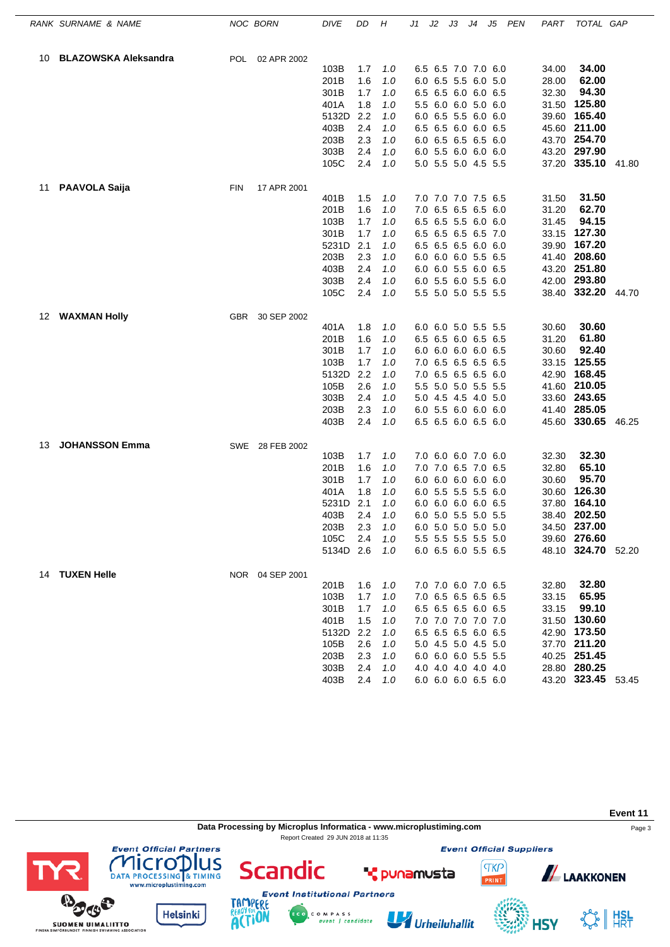| <b>BLAZOWSKA Aleksandra</b><br><b>POL</b><br>02 APR 2002<br>10<br>103B<br>1.7<br>1.0<br>6.5 6.5 7.0 7.0 6.0<br>34.00<br>201B<br>1.6<br>6.0 6.5 5.5 6.0 5.0<br>1.0<br>28.00<br>32.30<br>301B<br>1.7<br>6.5 6.5 6.0 6.0 6.5<br>1.0<br>401A<br>1.8<br>5.5 6.0 6.0 5.0 6.0<br>1.0<br>5132D<br>2.2<br>6.0 6.5 5.5 6.0 6.0<br>1.0<br>2.4<br>6.5 6.5 6.0 6.0 6.5<br>403B<br>1.0<br>203B<br>2.3<br>6.0 6.5 6.5 6.5 6.0<br>1.0<br>303B<br>2.4<br>6.0 5.5 6.0 6.0 6.0<br>1.0<br>105C<br>2.4<br>5.0 5.5 5.0 4.5 5.5<br>1.0<br><b>PAAVOLA Saija</b><br>17 APR 2001<br>11<br><b>FIN</b><br>7.0 7.0 7.0 7.5 6.5<br>1.5<br>1.0<br>31.50<br>401B<br>201B<br>1.6<br>7.0 6.5 6.5 6.5 6.0<br>31.20<br>1.0<br>103B<br>6.5 6.5 5.5 6.0 6.0<br>1.7<br>1.0<br>31.45<br>301B<br>1.7<br>1.0<br>6.5 6.5 6.5 6.5 7.0<br>5231D<br>2.1<br>6.5 6.5 6.5 6.0 6.0<br>39.90<br>1.0<br>203B<br>2.3<br>6.0 6.0 6.0 5.5 6.5<br>1.0<br>403B<br>2.4<br>6.0 6.0 5.5 6.0 6.5<br>1.0<br>42.00 293.80<br>303B<br>2.4<br>6.0 5.5 6.0 5.5 6.0<br>1.0<br>38.40 332.20<br>105C<br>2.4<br>5.5 5.0 5.0 5.5 5.5<br>1.0<br><b>WAXMAN Holly</b><br>30 SEP 2002<br>12<br><b>GBR</b><br>6.0 6.0 5.0 5.5 5.5<br>401A<br>1.8<br>30.60<br>1.0<br>201B<br>1.6<br>6.5 6.5 6.0 6.5 6.5<br>31.20<br>1.0<br>30.60<br>301B<br>1.7<br>1.0<br>6.0 6.0 6.0 6.0 6.5<br>103B<br>1.7<br>7.0 6.5 6.5 6.5 6.5<br>1.0<br>2.2<br>7.0 6.5 6.5 6.5 6.0<br>5132D<br>1.0<br>105B<br>2.6<br>5.5 5.0 5.0 5.5 5.5<br>1.0<br>2.4<br>5.0 4.5 4.5 4.0 5.0<br>303B<br>1.0<br>6.0 5.5 6.0 6.0 6.0<br>203B<br>2.3<br>1.0<br>403B<br>2.4<br>6.5 6.5 6.0 6.5 6.0<br>1.0<br><b>JOHANSSON Emma</b><br>SWE 28 FEB 2002<br>13<br>7.0 6.0 6.0 7.0 6.0<br>103B<br>1.7<br>1.0<br>32.30<br>1.6<br>7.0 7.0 6.5 7.0 6.5<br>32.80<br>201B<br>1.0<br>301B<br>6.0 6.0 6.0 6.0 6.0<br>30.60<br>1.7<br>1.0<br>401A<br>1.8<br>1.0<br>6.0 5.5 5.5 5.5 6.0<br>30.60<br>2.1<br>37.80<br>5231D<br>1.0<br>6.0 6.0 6.0 6.0 6.5<br>403B<br>2.4<br>1.0<br>6.0 5.0 5.5 5.0 5.5<br>203B<br>2.3<br>6.0 5.0 5.0 5.0 5.0<br>1.0<br>105C<br>2.4<br>5.5 5.5 5.5 5.5 5.0<br>1.0<br>5134D 2.6<br>6.0 6.5 6.0 5.5 6.5<br>1.0<br>14 TUXEN Helle<br>NOR 04 SEP 2001 | 34.00                 |
|-----------------------------------------------------------------------------------------------------------------------------------------------------------------------------------------------------------------------------------------------------------------------------------------------------------------------------------------------------------------------------------------------------------------------------------------------------------------------------------------------------------------------------------------------------------------------------------------------------------------------------------------------------------------------------------------------------------------------------------------------------------------------------------------------------------------------------------------------------------------------------------------------------------------------------------------------------------------------------------------------------------------------------------------------------------------------------------------------------------------------------------------------------------------------------------------------------------------------------------------------------------------------------------------------------------------------------------------------------------------------------------------------------------------------------------------------------------------------------------------------------------------------------------------------------------------------------------------------------------------------------------------------------------------------------------------------------------------------------------------------------------------------------------------------------------------------------------------------------------------------------------------------------------------------------------------------------------------------------------------------------------------------------------------------------------------------------------------------------------------------------------------|-----------------------|
|                                                                                                                                                                                                                                                                                                                                                                                                                                                                                                                                                                                                                                                                                                                                                                                                                                                                                                                                                                                                                                                                                                                                                                                                                                                                                                                                                                                                                                                                                                                                                                                                                                                                                                                                                                                                                                                                                                                                                                                                                                                                                                                                         |                       |
|                                                                                                                                                                                                                                                                                                                                                                                                                                                                                                                                                                                                                                                                                                                                                                                                                                                                                                                                                                                                                                                                                                                                                                                                                                                                                                                                                                                                                                                                                                                                                                                                                                                                                                                                                                                                                                                                                                                                                                                                                                                                                                                                         |                       |
|                                                                                                                                                                                                                                                                                                                                                                                                                                                                                                                                                                                                                                                                                                                                                                                                                                                                                                                                                                                                                                                                                                                                                                                                                                                                                                                                                                                                                                                                                                                                                                                                                                                                                                                                                                                                                                                                                                                                                                                                                                                                                                                                         | 62.00                 |
|                                                                                                                                                                                                                                                                                                                                                                                                                                                                                                                                                                                                                                                                                                                                                                                                                                                                                                                                                                                                                                                                                                                                                                                                                                                                                                                                                                                                                                                                                                                                                                                                                                                                                                                                                                                                                                                                                                                                                                                                                                                                                                                                         | 94.30                 |
|                                                                                                                                                                                                                                                                                                                                                                                                                                                                                                                                                                                                                                                                                                                                                                                                                                                                                                                                                                                                                                                                                                                                                                                                                                                                                                                                                                                                                                                                                                                                                                                                                                                                                                                                                                                                                                                                                                                                                                                                                                                                                                                                         | 31.50 125.80          |
|                                                                                                                                                                                                                                                                                                                                                                                                                                                                                                                                                                                                                                                                                                                                                                                                                                                                                                                                                                                                                                                                                                                                                                                                                                                                                                                                                                                                                                                                                                                                                                                                                                                                                                                                                                                                                                                                                                                                                                                                                                                                                                                                         | 39.60 165.40          |
|                                                                                                                                                                                                                                                                                                                                                                                                                                                                                                                                                                                                                                                                                                                                                                                                                                                                                                                                                                                                                                                                                                                                                                                                                                                                                                                                                                                                                                                                                                                                                                                                                                                                                                                                                                                                                                                                                                                                                                                                                                                                                                                                         | 45.60 211.00          |
|                                                                                                                                                                                                                                                                                                                                                                                                                                                                                                                                                                                                                                                                                                                                                                                                                                                                                                                                                                                                                                                                                                                                                                                                                                                                                                                                                                                                                                                                                                                                                                                                                                                                                                                                                                                                                                                                                                                                                                                                                                                                                                                                         | 43.70 254.70          |
|                                                                                                                                                                                                                                                                                                                                                                                                                                                                                                                                                                                                                                                                                                                                                                                                                                                                                                                                                                                                                                                                                                                                                                                                                                                                                                                                                                                                                                                                                                                                                                                                                                                                                                                                                                                                                                                                                                                                                                                                                                                                                                                                         | 43.20 297.90          |
|                                                                                                                                                                                                                                                                                                                                                                                                                                                                                                                                                                                                                                                                                                                                                                                                                                                                                                                                                                                                                                                                                                                                                                                                                                                                                                                                                                                                                                                                                                                                                                                                                                                                                                                                                                                                                                                                                                                                                                                                                                                                                                                                         | 37.20 335.10 41.80    |
|                                                                                                                                                                                                                                                                                                                                                                                                                                                                                                                                                                                                                                                                                                                                                                                                                                                                                                                                                                                                                                                                                                                                                                                                                                                                                                                                                                                                                                                                                                                                                                                                                                                                                                                                                                                                                                                                                                                                                                                                                                                                                                                                         |                       |
|                                                                                                                                                                                                                                                                                                                                                                                                                                                                                                                                                                                                                                                                                                                                                                                                                                                                                                                                                                                                                                                                                                                                                                                                                                                                                                                                                                                                                                                                                                                                                                                                                                                                                                                                                                                                                                                                                                                                                                                                                                                                                                                                         | 31.50                 |
|                                                                                                                                                                                                                                                                                                                                                                                                                                                                                                                                                                                                                                                                                                                                                                                                                                                                                                                                                                                                                                                                                                                                                                                                                                                                                                                                                                                                                                                                                                                                                                                                                                                                                                                                                                                                                                                                                                                                                                                                                                                                                                                                         | 62.70                 |
|                                                                                                                                                                                                                                                                                                                                                                                                                                                                                                                                                                                                                                                                                                                                                                                                                                                                                                                                                                                                                                                                                                                                                                                                                                                                                                                                                                                                                                                                                                                                                                                                                                                                                                                                                                                                                                                                                                                                                                                                                                                                                                                                         | 94.15                 |
|                                                                                                                                                                                                                                                                                                                                                                                                                                                                                                                                                                                                                                                                                                                                                                                                                                                                                                                                                                                                                                                                                                                                                                                                                                                                                                                                                                                                                                                                                                                                                                                                                                                                                                                                                                                                                                                                                                                                                                                                                                                                                                                                         | 33.15 127.30          |
|                                                                                                                                                                                                                                                                                                                                                                                                                                                                                                                                                                                                                                                                                                                                                                                                                                                                                                                                                                                                                                                                                                                                                                                                                                                                                                                                                                                                                                                                                                                                                                                                                                                                                                                                                                                                                                                                                                                                                                                                                                                                                                                                         | 167.20                |
|                                                                                                                                                                                                                                                                                                                                                                                                                                                                                                                                                                                                                                                                                                                                                                                                                                                                                                                                                                                                                                                                                                                                                                                                                                                                                                                                                                                                                                                                                                                                                                                                                                                                                                                                                                                                                                                                                                                                                                                                                                                                                                                                         | 41.40 208.60          |
|                                                                                                                                                                                                                                                                                                                                                                                                                                                                                                                                                                                                                                                                                                                                                                                                                                                                                                                                                                                                                                                                                                                                                                                                                                                                                                                                                                                                                                                                                                                                                                                                                                                                                                                                                                                                                                                                                                                                                                                                                                                                                                                                         | 43.20 251.80          |
|                                                                                                                                                                                                                                                                                                                                                                                                                                                                                                                                                                                                                                                                                                                                                                                                                                                                                                                                                                                                                                                                                                                                                                                                                                                                                                                                                                                                                                                                                                                                                                                                                                                                                                                                                                                                                                                                                                                                                                                                                                                                                                                                         |                       |
|                                                                                                                                                                                                                                                                                                                                                                                                                                                                                                                                                                                                                                                                                                                                                                                                                                                                                                                                                                                                                                                                                                                                                                                                                                                                                                                                                                                                                                                                                                                                                                                                                                                                                                                                                                                                                                                                                                                                                                                                                                                                                                                                         | 44.70                 |
|                                                                                                                                                                                                                                                                                                                                                                                                                                                                                                                                                                                                                                                                                                                                                                                                                                                                                                                                                                                                                                                                                                                                                                                                                                                                                                                                                                                                                                                                                                                                                                                                                                                                                                                                                                                                                                                                                                                                                                                                                                                                                                                                         | 30.60                 |
|                                                                                                                                                                                                                                                                                                                                                                                                                                                                                                                                                                                                                                                                                                                                                                                                                                                                                                                                                                                                                                                                                                                                                                                                                                                                                                                                                                                                                                                                                                                                                                                                                                                                                                                                                                                                                                                                                                                                                                                                                                                                                                                                         | 61.80                 |
|                                                                                                                                                                                                                                                                                                                                                                                                                                                                                                                                                                                                                                                                                                                                                                                                                                                                                                                                                                                                                                                                                                                                                                                                                                                                                                                                                                                                                                                                                                                                                                                                                                                                                                                                                                                                                                                                                                                                                                                                                                                                                                                                         | 92.40                 |
|                                                                                                                                                                                                                                                                                                                                                                                                                                                                                                                                                                                                                                                                                                                                                                                                                                                                                                                                                                                                                                                                                                                                                                                                                                                                                                                                                                                                                                                                                                                                                                                                                                                                                                                                                                                                                                                                                                                                                                                                                                                                                                                                         | 33.15 125.55          |
|                                                                                                                                                                                                                                                                                                                                                                                                                                                                                                                                                                                                                                                                                                                                                                                                                                                                                                                                                                                                                                                                                                                                                                                                                                                                                                                                                                                                                                                                                                                                                                                                                                                                                                                                                                                                                                                                                                                                                                                                                                                                                                                                         | 42.90 168.45          |
|                                                                                                                                                                                                                                                                                                                                                                                                                                                                                                                                                                                                                                                                                                                                                                                                                                                                                                                                                                                                                                                                                                                                                                                                                                                                                                                                                                                                                                                                                                                                                                                                                                                                                                                                                                                                                                                                                                                                                                                                                                                                                                                                         | 41.60 210.05          |
|                                                                                                                                                                                                                                                                                                                                                                                                                                                                                                                                                                                                                                                                                                                                                                                                                                                                                                                                                                                                                                                                                                                                                                                                                                                                                                                                                                                                                                                                                                                                                                                                                                                                                                                                                                                                                                                                                                                                                                                                                                                                                                                                         | 33.60 243.65          |
|                                                                                                                                                                                                                                                                                                                                                                                                                                                                                                                                                                                                                                                                                                                                                                                                                                                                                                                                                                                                                                                                                                                                                                                                                                                                                                                                                                                                                                                                                                                                                                                                                                                                                                                                                                                                                                                                                                                                                                                                                                                                                                                                         | 41.40 285.05          |
|                                                                                                                                                                                                                                                                                                                                                                                                                                                                                                                                                                                                                                                                                                                                                                                                                                                                                                                                                                                                                                                                                                                                                                                                                                                                                                                                                                                                                                                                                                                                                                                                                                                                                                                                                                                                                                                                                                                                                                                                                                                                                                                                         | 45.60 330.65<br>46.25 |
|                                                                                                                                                                                                                                                                                                                                                                                                                                                                                                                                                                                                                                                                                                                                                                                                                                                                                                                                                                                                                                                                                                                                                                                                                                                                                                                                                                                                                                                                                                                                                                                                                                                                                                                                                                                                                                                                                                                                                                                                                                                                                                                                         |                       |
|                                                                                                                                                                                                                                                                                                                                                                                                                                                                                                                                                                                                                                                                                                                                                                                                                                                                                                                                                                                                                                                                                                                                                                                                                                                                                                                                                                                                                                                                                                                                                                                                                                                                                                                                                                                                                                                                                                                                                                                                                                                                                                                                         | 32.30                 |
|                                                                                                                                                                                                                                                                                                                                                                                                                                                                                                                                                                                                                                                                                                                                                                                                                                                                                                                                                                                                                                                                                                                                                                                                                                                                                                                                                                                                                                                                                                                                                                                                                                                                                                                                                                                                                                                                                                                                                                                                                                                                                                                                         | 65.10                 |
|                                                                                                                                                                                                                                                                                                                                                                                                                                                                                                                                                                                                                                                                                                                                                                                                                                                                                                                                                                                                                                                                                                                                                                                                                                                                                                                                                                                                                                                                                                                                                                                                                                                                                                                                                                                                                                                                                                                                                                                                                                                                                                                                         | 95.70                 |
|                                                                                                                                                                                                                                                                                                                                                                                                                                                                                                                                                                                                                                                                                                                                                                                                                                                                                                                                                                                                                                                                                                                                                                                                                                                                                                                                                                                                                                                                                                                                                                                                                                                                                                                                                                                                                                                                                                                                                                                                                                                                                                                                         | 126.30                |
|                                                                                                                                                                                                                                                                                                                                                                                                                                                                                                                                                                                                                                                                                                                                                                                                                                                                                                                                                                                                                                                                                                                                                                                                                                                                                                                                                                                                                                                                                                                                                                                                                                                                                                                                                                                                                                                                                                                                                                                                                                                                                                                                         | 164.10                |
|                                                                                                                                                                                                                                                                                                                                                                                                                                                                                                                                                                                                                                                                                                                                                                                                                                                                                                                                                                                                                                                                                                                                                                                                                                                                                                                                                                                                                                                                                                                                                                                                                                                                                                                                                                                                                                                                                                                                                                                                                                                                                                                                         | 38.40 202.50          |
|                                                                                                                                                                                                                                                                                                                                                                                                                                                                                                                                                                                                                                                                                                                                                                                                                                                                                                                                                                                                                                                                                                                                                                                                                                                                                                                                                                                                                                                                                                                                                                                                                                                                                                                                                                                                                                                                                                                                                                                                                                                                                                                                         | 34.50 237.00          |
|                                                                                                                                                                                                                                                                                                                                                                                                                                                                                                                                                                                                                                                                                                                                                                                                                                                                                                                                                                                                                                                                                                                                                                                                                                                                                                                                                                                                                                                                                                                                                                                                                                                                                                                                                                                                                                                                                                                                                                                                                                                                                                                                         | 39.60 276.60          |
|                                                                                                                                                                                                                                                                                                                                                                                                                                                                                                                                                                                                                                                                                                                                                                                                                                                                                                                                                                                                                                                                                                                                                                                                                                                                                                                                                                                                                                                                                                                                                                                                                                                                                                                                                                                                                                                                                                                                                                                                                                                                                                                                         | 48.10 324.70 52.20    |
|                                                                                                                                                                                                                                                                                                                                                                                                                                                                                                                                                                                                                                                                                                                                                                                                                                                                                                                                                                                                                                                                                                                                                                                                                                                                                                                                                                                                                                                                                                                                                                                                                                                                                                                                                                                                                                                                                                                                                                                                                                                                                                                                         |                       |
| 7.0 7.0 6.0 7.0 6.5<br>32.80<br>201B<br>1.6<br>1.0<br>7.0 6.5 6.5 6.5 6.5                                                                                                                                                                                                                                                                                                                                                                                                                                                                                                                                                                                                                                                                                                                                                                                                                                                                                                                                                                                                                                                                                                                                                                                                                                                                                                                                                                                                                                                                                                                                                                                                                                                                                                                                                                                                                                                                                                                                                                                                                                                               | 32.80<br>65.95        |
| 103B<br>1.7<br>1.0<br>33.15<br>301B<br>6.5 6.5 6.5 6.0 6.5<br>33.15<br>1.7<br>1.0                                                                                                                                                                                                                                                                                                                                                                                                                                                                                                                                                                                                                                                                                                                                                                                                                                                                                                                                                                                                                                                                                                                                                                                                                                                                                                                                                                                                                                                                                                                                                                                                                                                                                                                                                                                                                                                                                                                                                                                                                                                       | 99.10                 |
| 1.5<br>7.0 7.0 7.0 7.0 7.0<br>401B<br>1.0                                                                                                                                                                                                                                                                                                                                                                                                                                                                                                                                                                                                                                                                                                                                                                                                                                                                                                                                                                                                                                                                                                                                                                                                                                                                                                                                                                                                                                                                                                                                                                                                                                                                                                                                                                                                                                                                                                                                                                                                                                                                                               | 31.50 130.60          |
| 6.5 6.5 6.5 6.0 6.5<br>5132D<br>2.2<br>1.0                                                                                                                                                                                                                                                                                                                                                                                                                                                                                                                                                                                                                                                                                                                                                                                                                                                                                                                                                                                                                                                                                                                                                                                                                                                                                                                                                                                                                                                                                                                                                                                                                                                                                                                                                                                                                                                                                                                                                                                                                                                                                              | 42.90 173.50          |
| 105B<br>2.6<br>1.0<br>5.0 4.5 5.0 4.5 5.0                                                                                                                                                                                                                                                                                                                                                                                                                                                                                                                                                                                                                                                                                                                                                                                                                                                                                                                                                                                                                                                                                                                                                                                                                                                                                                                                                                                                                                                                                                                                                                                                                                                                                                                                                                                                                                                                                                                                                                                                                                                                                               | 37.70 211.20          |
| 203B<br>2.3<br>1.0<br>6.0 6.0 6.0 5.5 5.5                                                                                                                                                                                                                                                                                                                                                                                                                                                                                                                                                                                                                                                                                                                                                                                                                                                                                                                                                                                                                                                                                                                                                                                                                                                                                                                                                                                                                                                                                                                                                                                                                                                                                                                                                                                                                                                                                                                                                                                                                                                                                               | 40.25 251.45          |
| 303B<br>2.4<br>4.0 4.0 4.0 4.0 4.0<br>1.0                                                                                                                                                                                                                                                                                                                                                                                                                                                                                                                                                                                                                                                                                                                                                                                                                                                                                                                                                                                                                                                                                                                                                                                                                                                                                                                                                                                                                                                                                                                                                                                                                                                                                                                                                                                                                                                                                                                                                                                                                                                                                               | 28.80 280.25          |
| 403B<br>2.4<br>6.0 6.0 6.0 6.5 6.0<br>1.0                                                                                                                                                                                                                                                                                                                                                                                                                                                                                                                                                                                                                                                                                                                                                                                                                                                                                                                                                                                                                                                                                                                                                                                                                                                                                                                                                                                                                                                                                                                                                                                                                                                                                                                                                                                                                                                                                                                                                                                                                                                                                               | 43.20 323.45 53.45    |

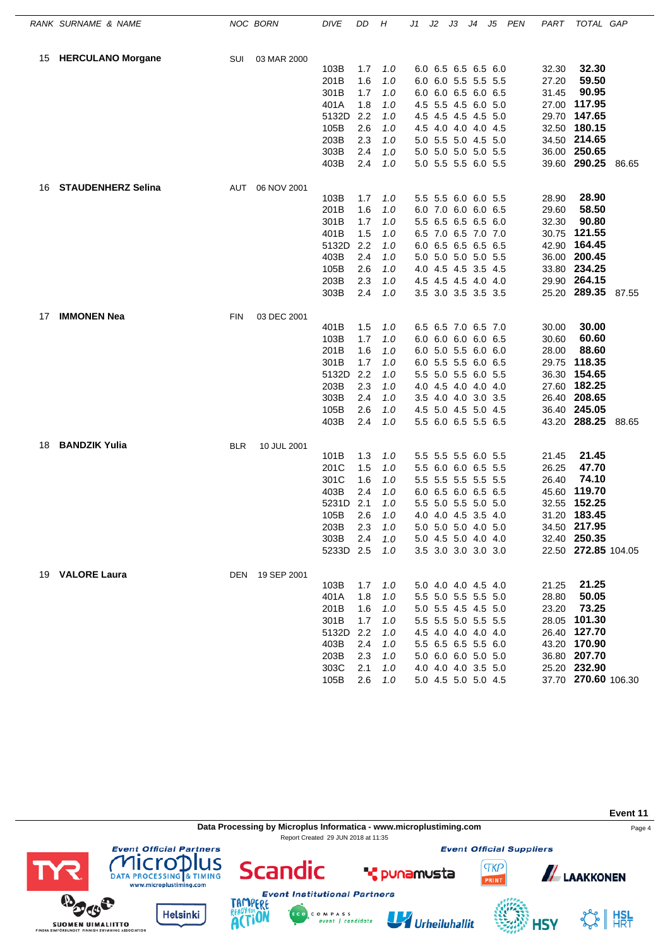|    | RANK SURNAME & NAME       |            | NOC BORN        | <b>DIVE</b>  | DD         | Η          | J1  | J2 | JЗ                                         | J4 | J5 | PEN | PART           | TOTAL GAP           |       |
|----|---------------------------|------------|-----------------|--------------|------------|------------|-----|----|--------------------------------------------|----|----|-----|----------------|---------------------|-------|
| 15 | <b>HERCULANO Morgane</b>  | SUI        | 03 MAR 2000     |              |            |            |     |    |                                            |    |    |     |                |                     |       |
|    |                           |            |                 | 103B         | 1.7        | 1.0        |     |    | 6.0 6.5 6.5 6.5 6.0                        |    |    |     | 32.30          | 32.30               |       |
|    |                           |            |                 | 201B         | 1.6        | 1.0        |     |    | 6.0 6.0 5.5 5.5 5.5                        |    |    |     | 27.20          | 59.50               |       |
|    |                           |            |                 | 301B         | 1.7        | 1.0        |     |    | 6.0 6.0 6.5 6.0 6.5                        |    |    |     | 31.45          | 90.95               |       |
|    |                           |            |                 | 401A         | 1.8        | 1.0        |     |    | 4.5 5.5 4.5 6.0 5.0                        |    |    |     | 27.00          | 117.95              |       |
|    |                           |            |                 | 5132D        | 2.2        | 1.0        |     |    | 4.5 4.5 4.5 4.5 5.0                        |    |    |     | 29.70          | 147.65              |       |
|    |                           |            |                 | 105B         | 2.6        | 1.0        |     |    | 4.5 4.0 4.0 4.0 4.5                        |    |    |     | 32.50          | 180.15              |       |
|    |                           |            |                 | 203B         | 2.3        | 1.0        |     |    | 5.0 5.5 5.0 4.5 5.0                        |    |    |     | 34.50          | 214.65              |       |
|    |                           |            |                 | 303B         | 2.4        | 1.0        |     |    | 5.0 5.0 5.0 5.0 5.5                        |    |    |     |                | 36.00 250.65        |       |
|    |                           |            |                 | 403B         | 2.4        | 1.0        |     |    | 5.0 5.5 5.5 6.0 5.5                        |    |    |     |                | 39.60 290.25        | 86.65 |
| 16 | <b>STAUDENHERZ Selina</b> |            | AUT 06 NOV 2001 |              |            |            |     |    |                                            |    |    |     |                |                     |       |
|    |                           |            |                 | 103B         | 1.7        | 1.0        |     |    | 5.5 5.5 6.0 6.0 5.5                        |    |    |     | 28.90          | 28.90               |       |
|    |                           |            |                 | 201B         | 1.6        | 1.0        |     |    | 6.0 7.0 6.0 6.0 6.5                        |    |    |     | 29.60          | 58.50               |       |
|    |                           |            |                 | 301B         | 1.7        | 1.0        |     |    | 5.5 6.5 6.5 6.5 6.0                        |    |    |     | 32.30          | 90.80               |       |
|    |                           |            |                 | 401B         | 1.5        | 1.0        |     |    | 6.5 7.0 6.5 7.0 7.0                        |    |    |     | 30.75          | 121.55              |       |
|    |                           |            |                 | 5132D        | 2.2        | 1.0        |     |    | 6.0 6.5 6.5 6.5 6.5                        |    |    |     | 42.90          | 164.45              |       |
|    |                           |            |                 | 403B         | 2.4        | 1.0        |     |    | 5.0 5.0 5.0 5.0 5.5                        |    |    |     | 36.00          | 200.45              |       |
|    |                           |            |                 | 105B         | 2.6        | 1.0        |     |    | 4.0 4.5 4.5 3.5 4.5                        |    |    |     | 33.80          | 234.25              |       |
|    |                           |            |                 | 203B         | 2.3        | 1.0        |     |    | 4.5 4.5 4.5 4.0 4.0                        |    |    |     | 29.90          | 264.15              |       |
|    |                           |            |                 | 303B         | 2.4        | 1.0        |     |    | 3.5 3.0 3.5 3.5 3.5                        |    |    |     |                | 25.20 289.35        | 87.55 |
| 17 | <b>IMMONEN Nea</b>        | <b>FIN</b> | 03 DEC 2001     |              |            |            |     |    |                                            |    |    |     |                |                     |       |
|    |                           |            |                 | 401B         | 1.5        | 1.0        |     |    | 6.5 6.5 7.0 6.5 7.0                        |    |    |     | 30.00          | 30.00               |       |
|    |                           |            |                 | 103B<br>201B | 1.7<br>1.6 | 1.0        |     |    | 6.0 6.0 6.0 6.0 6.5                        |    |    |     | 30.60<br>28.00 | 60.60<br>88.60      |       |
|    |                           |            |                 | 301B         | 1.7        | 1.0        |     |    | 6.0 5.0 5.5 6.0 6.0<br>6.0 5.5 5.5 6.0 6.5 |    |    |     | 29.75          | 118.35              |       |
|    |                           |            |                 | 5132D        | 2.2        | 1.0<br>1.0 |     |    | 5.5 5.0 5.5 6.0 5.5                        |    |    |     | 36.30          | 154.65              |       |
|    |                           |            |                 | 203B         | 2.3        | 1.0        |     |    | 4.0 4.5 4.0 4.0 4.0                        |    |    |     | 27.60          | 182.25              |       |
|    |                           |            |                 | 303B         | 2.4        | 1.0        |     |    | 3.5 4.0 4.0 3.0 3.5                        |    |    |     | 26.40          | 208.65              |       |
|    |                           |            |                 | 105B         | 2.6        | 1.0        |     |    | 4.5 5.0 4.5 5.0 4.5                        |    |    |     |                | 36.40 245.05        |       |
|    |                           |            |                 | 403B         | 2.4        | 1.0        |     |    | 5.5 6.0 6.5 5.5 6.5                        |    |    |     |                | 43.20 288.25        | 88.65 |
| 18 | <b>BANDZIK Yulia</b>      | <b>BLR</b> | 10 JUL 2001     |              |            |            |     |    |                                            |    |    |     |                |                     |       |
|    |                           |            |                 | 101B         | 1.3        | 1.0        |     |    | 5.5 5.5 5.5 6.0 5.5                        |    |    |     | 21.45          | 21.45               |       |
|    |                           |            |                 | 201C         | 1.5        | 1.0        | 5.5 |    | 6.0 6.0 6.5 5.5                            |    |    |     | 26.25          | 47.70               |       |
|    |                           |            |                 | 301C         | 1.6        | 1.0        |     |    | 5.5 5.5 5.5 5.5 5.5                        |    |    |     | 26.40          | 74.10               |       |
|    |                           |            |                 | 403B         | 2.4        | 1.0        |     |    | 6.0 6.5 6.0 6.5 6.5                        |    |    |     | 45.60          | 119.70              |       |
|    |                           |            |                 | 5231D        | 2.1        | 1.0        |     |    | 5.5 5.0 5.5 5.0 5.0                        |    |    |     | 32.55          | 152.25              |       |
|    |                           |            |                 | 105B         | 2.6        | 1.0        |     |    | 4.0 4.0 4.5 3.5 4.0                        |    |    |     | 31.20          | 183.45              |       |
|    |                           |            |                 | 203B         | 2.3        | 1.0        |     |    | 5.0 5.0 5.0 4.0 5.0                        |    |    |     |                | 34.50 217.95        |       |
|    |                           |            |                 | 303B         | 2.4        | 1.0        |     |    | 5.0 4.5 5.0 4.0 4.0                        |    |    |     |                | 32.40 250.35        |       |
|    |                           |            |                 | 5233D 2.5    |            | 1.0        |     |    | 3.5 3.0 3.0 3.0 3.0                        |    |    |     |                | 22.50 272.85 104.05 |       |
|    | 19 VALORE Laura           |            | DEN 19 SEP 2001 |              |            |            |     |    |                                            |    |    |     |                |                     |       |
|    |                           |            |                 | 103B         | 1.7        | 1.0        |     |    | 5.0 4.0 4.0 4.5 4.0                        |    |    |     | 21.25          | 21.25               |       |
|    |                           |            |                 | 401A         | 1.8        | 1.0        |     |    | 5.5 5.0 5.5 5.5 5.0                        |    |    |     | 28.80          | 50.05               |       |
|    |                           |            |                 | 201B         | 1.6        | 1.0        |     |    | 5.0 5.5 4.5 4.5 5.0                        |    |    |     | 23.20          | 73.25               |       |
|    |                           |            |                 | 301B         | 1.7        | 1.0        |     |    | 5.5 5.5 5.0 5.5 5.5                        |    |    |     |                | 28.05 101.30        |       |
|    |                           |            |                 | 5132D        | 2.2        | 1.0        |     |    | 4.5 4.0 4.0 4.0 4.0                        |    |    |     |                | 26.40 127.70        |       |
|    |                           |            |                 | 403B         | 2.4        | 1.0        |     |    | 5.5 6.5 6.5 5.5 6.0                        |    |    |     |                | 43.20 170.90        |       |
|    |                           |            |                 | 203B         | 2.3        | 1.0        |     |    | 5.0 6.0 6.0 5.0 5.0                        |    |    |     |                | 36.80 207.70        |       |
|    |                           |            |                 | 303C         | 2.1        | 1.0        |     |    | 4.0 4.0 4.0 3.5 5.0                        |    |    |     |                | 25.20 232.90        |       |
|    |                           |            |                 | 105B         | 2.6        | 1.0        |     |    | 5.0 4.5 5.0 5.0 4.5                        |    |    |     |                | 37.70 270.60 106.30 |       |